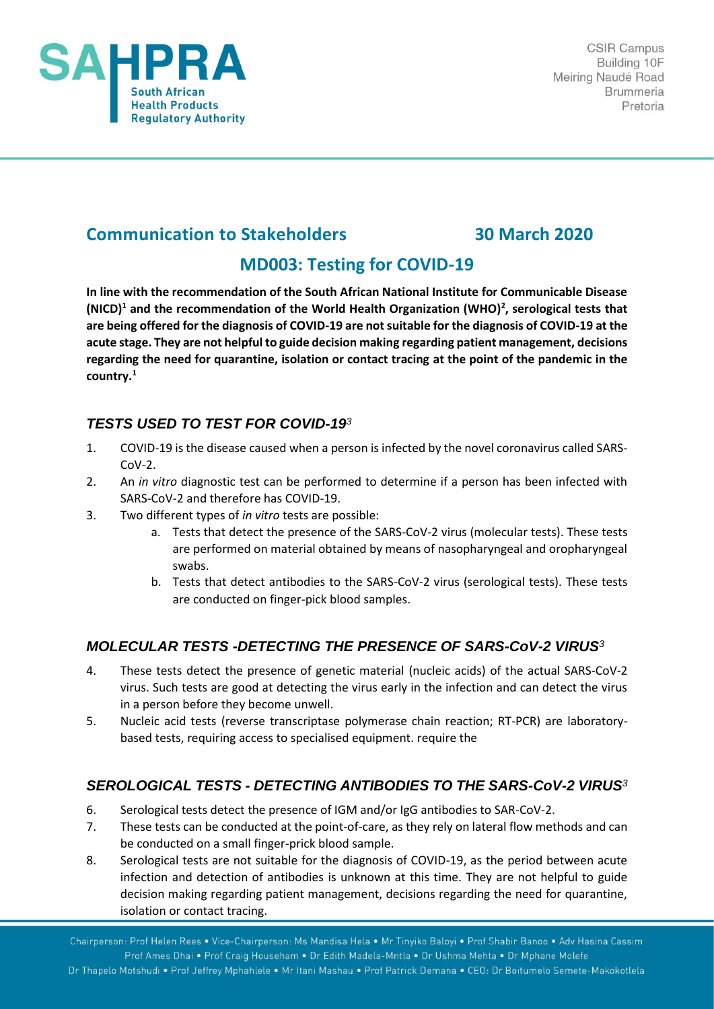

# **Communication to Stakeholders 30 March 2020**

## **MD003: Testing for COVID-19**

**In line with the recommendation of the South African National Institute for Communicable Disease (NICD)<sup>1</sup> and the recommendation of the World Health Organization (WHO)<sup>2</sup> , serological tests that are being offered for the diagnosis of COVID-19 are not suitable for the diagnosis of COVID-19 at the acute stage. They are not helpful to guide decision making regarding patient management, decisions regarding the need for quarantine, isolation or contact tracing at the point of the pandemic in the country.<sup>1</sup>**

## *TESTS USED TO TEST FOR COVID-19<sup>3</sup>*

- 1. COVID-19 is the disease caused when a person is infected by the novel coronavirus called SARS-CoV-2.
- 2. An *in vitro* diagnostic test can be performed to determine if a person has been infected with SARS-CoV-2 and therefore has COVID-19.
- 3. Two different types of *in vitro* tests are possible:
	- a. Tests that detect the presence of the SARS-CoV-2 virus (molecular tests). These tests are performed on material obtained by means of nasopharyngeal and oropharyngeal swabs.
	- b. Tests that detect antibodies to the SARS-CoV-2 virus (serological tests). These tests are conducted on finger-pick blood samples.

## *MOLECULAR TESTS -DETECTING THE PRESENCE OF SARS-CoV-2 VIRUS<sup>3</sup>*

- 4. These tests detect the presence of genetic material (nucleic acids) of the actual SARS-CoV-2 virus. Such tests are good at detecting the virus early in the infection and can detect the virus in a person before they become unwell.
- 5. Nucleic acid tests (reverse transcriptase polymerase chain reaction; RT-PCR) are laboratorybased tests, requiring access to specialised equipment. require the

## *SEROLOGICAL TESTS - DETECTING ANTIBODIES TO THE SARS-CoV-2 VIRUS<sup>3</sup>*

- 6. Serological tests detect the presence of IGM and/or IgG antibodies to SAR-CoV-2.
- 7. These tests can be conducted at the point-of-care, as they rely on lateral flow methods and can be conducted on a small finger-prick blood sample.
- 8. Serological tests are not suitable for the diagnosis of COVID-19, as the period between acute infection and detection of antibodies is unknown at this time. They are not helpful to guide decision making regarding patient management, decisions regarding the need for quarantine, isolation or contact tracing.

Chairperson: Prof Helen Rees . Vice-Chairperson: Ms Mandisa Hela . Mr Tinyiko Baloyi . Prof Shabir Banoo . Adv Hasina Cassim Prof Ames Dhai . Prof Craig Househam . Dr Edith Madela-Mntla . Dr Ushma Mehta . Dr Mphane Molefe

Dr Thapelo Motshudi . Prof Jeffrey Mphahlele . Mr Itani Mashau . Prof Patrick Demana . CEO: Dr Boitumelo Semete-Makokotlela